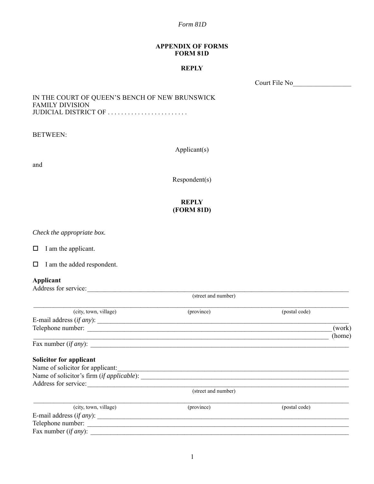*Form 81D*

#### **APPENDIX OF FORMS FORM 81D**

### **REPLY**

Court File No\_\_\_\_\_\_\_\_\_\_\_\_\_\_\_\_\_

#### IN THE COURT OF QUEEN'S BENCH OF NEW BRUNSWICK FAMILY DIVISION JUDICIAL DISTRICT OF . . . . . . . . . . . . . . . . . . . . . . . .

BETWEEN:

Applicant(s)

and

Respondent(s)

### **REPLY (FORM 81D)**

*Check the appropriate box.*

 $\Box$  I am the applicant.

I am the added respondent.

#### **Applicant**

| Applicant<br>Address for service: |                     |               |        |  |
|-----------------------------------|---------------------|---------------|--------|--|
|                                   |                     |               |        |  |
| (city, town, village)             | (province)          | (postal code) |        |  |
|                                   |                     |               |        |  |
|                                   |                     |               | (work) |  |
|                                   |                     |               | (home) |  |
| Fax number $(if any)$ :           |                     |               |        |  |
| Solicitor for applicant           |                     |               |        |  |
| Name of solicitor for applicant:  |                     |               |        |  |
|                                   |                     |               |        |  |
| Address for service:              |                     |               |        |  |
|                                   | (street and number) |               |        |  |
| (city, town, village)             | (province)          | (postal code) |        |  |
| E-mail address $(if any)$ :       |                     |               |        |  |
| Telephone number:                 |                     |               |        |  |
| Fax number ( <i>if any</i> ):     |                     |               |        |  |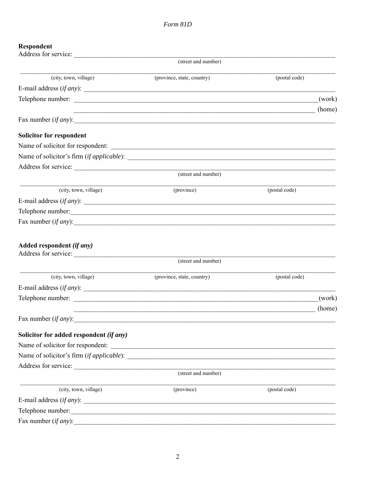# Respondent

| Address for service:                              |                                                                                                                       |               |        |
|---------------------------------------------------|-----------------------------------------------------------------------------------------------------------------------|---------------|--------|
|                                                   | (street and number)                                                                                                   |               |        |
| (city, town, village)                             | (province, state, country)                                                                                            | (postal code) |        |
| E-mail address $(if any)$ :                       |                                                                                                                       |               |        |
|                                                   |                                                                                                                       |               | (work) |
|                                                   | <u> 1989 - Johann John Stone, mensk politik foar de fan de fan de fan de fan de fan de fan de fan de fan de fan d</u> |               | (home) |
| Fax number $(if any)$ :                           |                                                                                                                       |               |        |
| <b>Solicitor for respondent</b>                   |                                                                                                                       |               |        |
|                                                   |                                                                                                                       |               |        |
|                                                   |                                                                                                                       |               |        |
|                                                   |                                                                                                                       |               |        |
|                                                   | (street and number)                                                                                                   |               |        |
| (city, town, village)                             | (province)                                                                                                            | (postal code) |        |
| E-mail address $(if any)$ :                       |                                                                                                                       |               |        |
| Telephone number:                                 |                                                                                                                       |               |        |
| Fax number $(if any)$ :                           |                                                                                                                       |               |        |
| Added respondent (if any)<br>Address for service: | (street and number)                                                                                                   |               |        |
|                                                   |                                                                                                                       |               |        |
| (city, town, village)                             | (province, state, country)                                                                                            | (postal code) |        |
| E-mail address $(if any)$ :                       |                                                                                                                       |               |        |
|                                                   |                                                                                                                       |               | (work) |
| Fax number <i>(if any)</i> :                      | <u> 1989 - Johann Johann Barbara, martin bashkar (b. 1989)</u>                                                        |               | (home) |
| Solicitor for added respondent (if any)           |                                                                                                                       |               |        |
| Name of solicitor for respondent:                 |                                                                                                                       |               |        |
|                                                   |                                                                                                                       |               |        |
|                                                   |                                                                                                                       |               |        |
|                                                   | (street and number)                                                                                                   |               |        |
| (city, town, village)                             | (province)                                                                                                            | (postal code) |        |
| E-mail address $(if any)$ :                       |                                                                                                                       |               |        |
| Telephone number:                                 | <u> 2000 - Jan Barnett, mars et al. (</u>                                                                             |               |        |
| Fax number (if any):                              |                                                                                                                       |               |        |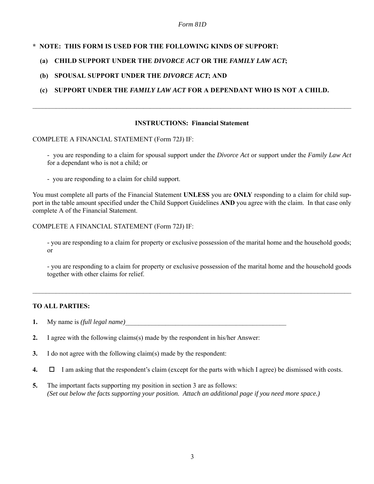#### *Form 81D*

### **\* NOTE: THIS FORM IS USED FOR THE FOLLOWING KINDS OF SUPPORT:**

# **(a) CHILD SUPPORT UNDER THE** *DIVORCE ACT* **OR THE** *FAMILY LAW ACT***;**

### **(b) SPOUSAL SUPPORT UNDER THE** *DIVORCE ACT***; AND**

# **(c) SUPPORT UNDER THE** *FAMILY LAW ACT* **FOR A DEPENDANT WHO IS NOT A CHILD.**

#### **INSTRUCTIONS: Financial Statement**

 $\mathcal{L}_\mathcal{L} = \mathcal{L}_\mathcal{L} = \mathcal{L}_\mathcal{L} = \mathcal{L}_\mathcal{L} = \mathcal{L}_\mathcal{L} = \mathcal{L}_\mathcal{L} = \mathcal{L}_\mathcal{L} = \mathcal{L}_\mathcal{L} = \mathcal{L}_\mathcal{L} = \mathcal{L}_\mathcal{L} = \mathcal{L}_\mathcal{L} = \mathcal{L}_\mathcal{L} = \mathcal{L}_\mathcal{L} = \mathcal{L}_\mathcal{L} = \mathcal{L}_\mathcal{L} = \mathcal{L}_\mathcal{L} = \mathcal{L}_\mathcal{L}$ 

#### COMPLETE A FINANCIAL STATEMENT (Form 72J) IF:

- you are responding to a claim for spousal support under the *Divorce Act* or support under the *Family Law Act* for a dependant who is not a child; or

- you are responding to a claim for child support.

You must complete all parts of the Financial Statement **UNLESS** you are **ONLY** responding to a claim for child support in the table amount specified under the Child Support Guidelines **AND** you agree with the claim. In that case only complete A of the Financial Statement.

#### COMPLETE A FINANCIAL STATEMENT (Form 72J) IF:

- you are responding to a claim for property or exclusive possession of the marital home and the household goods; or

- you are responding to a claim for property or exclusive possession of the marital home and the household goods together with other claims for relief.

 $\mathcal{L}_\mathcal{L} = \mathcal{L}_\mathcal{L} = \mathcal{L}_\mathcal{L} = \mathcal{L}_\mathcal{L} = \mathcal{L}_\mathcal{L} = \mathcal{L}_\mathcal{L} = \mathcal{L}_\mathcal{L} = \mathcal{L}_\mathcal{L} = \mathcal{L}_\mathcal{L} = \mathcal{L}_\mathcal{L} = \mathcal{L}_\mathcal{L} = \mathcal{L}_\mathcal{L} = \mathcal{L}_\mathcal{L} = \mathcal{L}_\mathcal{L} = \mathcal{L}_\mathcal{L} = \mathcal{L}_\mathcal{L} = \mathcal{L}_\mathcal{L}$ 

### **TO ALL PARTIES:**

- **1.** My name is *(full legal name)*
- **2.** I agree with the following claims(s) made by the respondent in his/her Answer:
- **3.** I do not agree with the following claim(s) made by the respondent:
- **4.**  $\Box$  I am asking that the respondent's claim (except for the parts with which I agree) be dismissed with costs.
- **5.** The important facts supporting my position in section 3 are as follows: *(Set out below the facts supporting your position. Attach an additional page if you need more space.)*